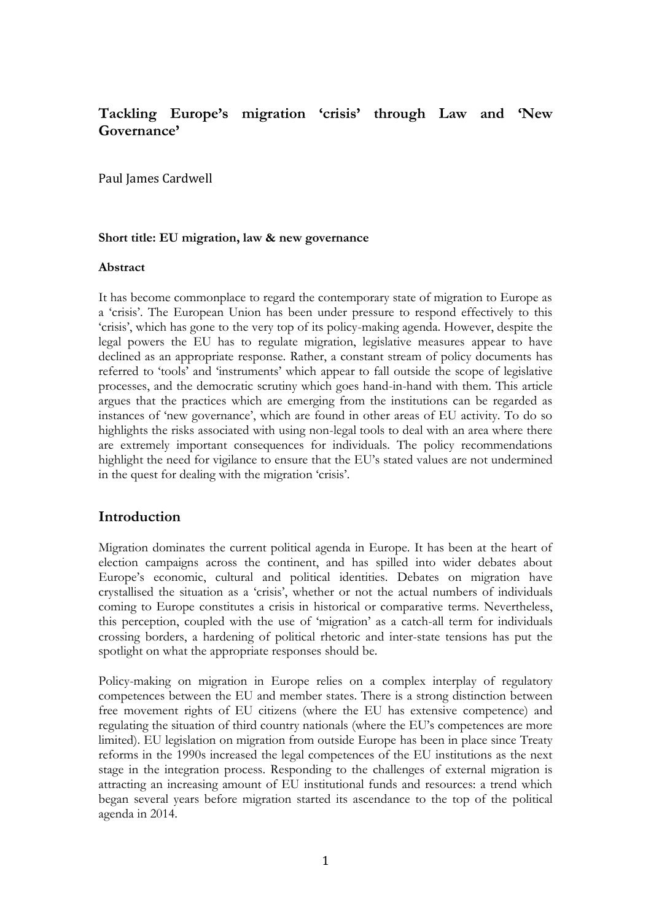# **Tackling Europe's migration 'crisis' through Law and 'New Governance'**

Paul James Cardwell

#### **Short title: EU migration, law & new governance**

#### **Abstract**

It has become commonplace to regard the contemporary state of migration to Europe as a 'crisis'. The European Union has been under pressure to respond effectively to this 'crisis', which has gone to the very top of its policy-making agenda. However, despite the legal powers the EU has to regulate migration, legislative measures appear to have declined as an appropriate response. Rather, a constant stream of policy documents has referred to 'tools' and 'instruments' which appear to fall outside the scope of legislative processes, and the democratic scrutiny which goes hand-in-hand with them. This article argues that the practices which are emerging from the institutions can be regarded as instances of 'new governance', which are found in other areas of EU activity. To do so highlights the risks associated with using non-legal tools to deal with an area where there are extremely important consequences for individuals. The policy recommendations highlight the need for vigilance to ensure that the EU's stated values are not undermined in the quest for dealing with the migration 'crisis'.

# **Introduction**

Migration dominates the current political agenda in Europe. It has been at the heart of election campaigns across the continent, and has spilled into wider debates about Europe's economic, cultural and political identities. Debates on migration have crystallised the situation as a 'crisis', whether or not the actual numbers of individuals coming to Europe constitutes a crisis in historical or comparative terms. Nevertheless, this perception, coupled with the use of 'migration' as a catch-all term for individuals crossing borders, a hardening of political rhetoric and inter-state tensions has put the spotlight on what the appropriate responses should be.

Policy-making on migration in Europe relies on a complex interplay of regulatory competences between the EU and member states. There is a strong distinction between free movement rights of EU citizens (where the EU has extensive competence) and regulating the situation of third country nationals (where the EU's competences are more limited). EU legislation on migration from outside Europe has been in place since Treaty reforms in the 1990s increased the legal competences of the EU institutions as the next stage in the integration process. Responding to the challenges of external migration is attracting an increasing amount of EU institutional funds and resources: a trend which began several years before migration started its ascendance to the top of the political agenda in 2014.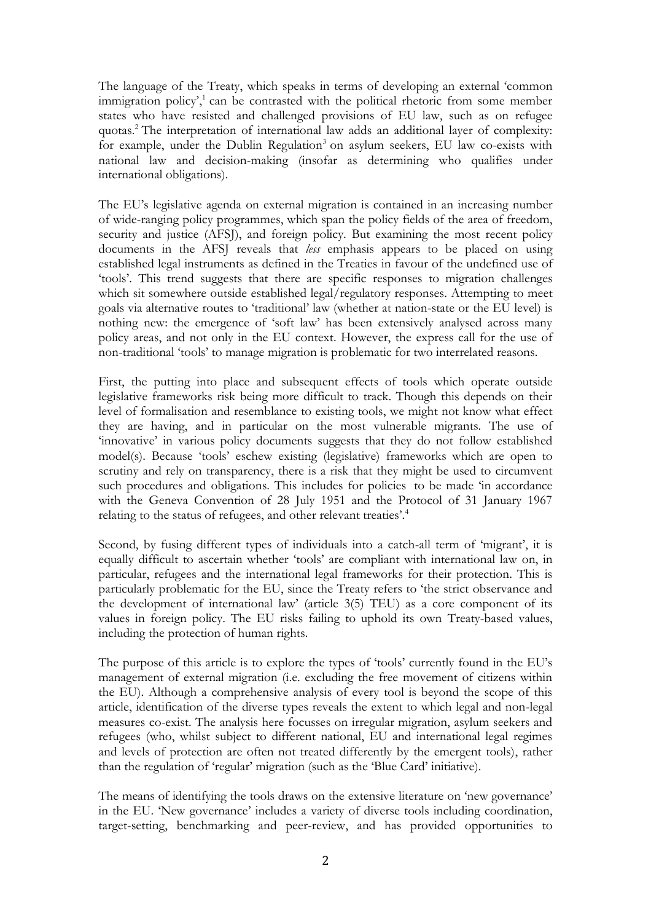The language of the Treaty, which speaks in terms of developing an external 'common immigration policy',<sup>1</sup> can be contrasted with the political rhetoric from some member states who have resisted and challenged provisions of EU law, such as on refugee quotas. <sup>2</sup> The interpretation of international law adds an additional layer of complexity: for example, under the Dublin Regulation<sup>3</sup> on asylum seekers, EU law co-exists with national law and decision-making (insofar as determining who qualifies under international obligations).

The EU's legislative agenda on external migration is contained in an increasing number of wide-ranging policy programmes, which span the policy fields of the area of freedom, security and justice (AFSJ), and foreign policy. But examining the most recent policy documents in the AFSJ reveals that *less* emphasis appears to be placed on using established legal instruments as defined in the Treaties in favour of the undefined use of 'tools'. This trend suggests that there are specific responses to migration challenges which sit somewhere outside established legal/regulatory responses. Attempting to meet goals via alternative routes to 'traditional' law (whether at nation-state or the EU level) is nothing new: the emergence of 'soft law' has been extensively analysed across many policy areas, and not only in the EU context. However, the express call for the use of non-traditional 'tools' to manage migration is problematic for two interrelated reasons.

First, the putting into place and subsequent effects of tools which operate outside legislative frameworks risk being more difficult to track. Though this depends on their level of formalisation and resemblance to existing tools, we might not know what effect they are having, and in particular on the most vulnerable migrants. The use of 'innovative' in various policy documents suggests that they do not follow established model(s). Because 'tools' eschew existing (legislative) frameworks which are open to scrutiny and rely on transparency, there is a risk that they might be used to circumvent such procedures and obligations. This includes for policies to be made 'in accordance with the Geneva Convention of 28 July 1951 and the Protocol of 31 January 1967 relating to the status of refugees, and other relevant treaties'.<sup>4</sup>

Second, by fusing different types of individuals into a catch-all term of 'migrant', it is equally difficult to ascertain whether 'tools' are compliant with international law on, in particular, refugees and the international legal frameworks for their protection. This is particularly problematic for the EU, since the Treaty refers to 'the strict observance and the development of international law' (article 3(5) TEU) as a core component of its values in foreign policy. The EU risks failing to uphold its own Treaty-based values, including the protection of human rights.

The purpose of this article is to explore the types of 'tools' currently found in the EU's management of external migration (i.e. excluding the free movement of citizens within the EU). Although a comprehensive analysis of every tool is beyond the scope of this article, identification of the diverse types reveals the extent to which legal and non-legal measures co-exist. The analysis here focusses on irregular migration, asylum seekers and refugees (who, whilst subject to different national, EU and international legal regimes and levels of protection are often not treated differently by the emergent tools), rather than the regulation of 'regular' migration (such as the 'Blue Card' initiative).

The means of identifying the tools draws on the extensive literature on 'new governance' in the EU. 'New governance' includes a variety of diverse tools including coordination, target-setting, benchmarking and peer-review, and has provided opportunities to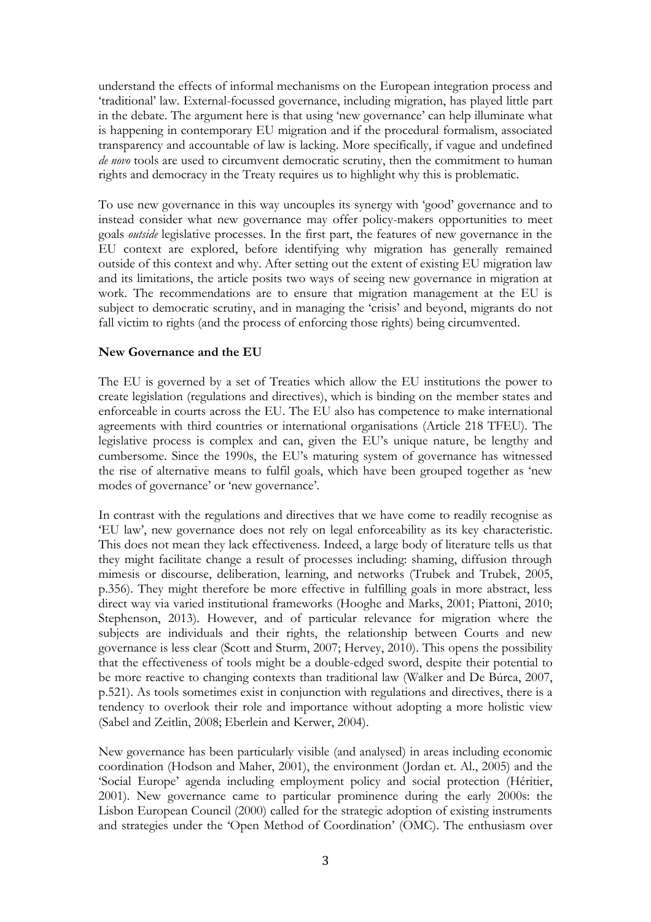understand the effects of informal mechanisms on the European integration process and 'traditional' law. External-focussed governance, including migration, has played little part in the debate. The argument here is that using 'new governance' can help illuminate what is happening in contemporary EU migration and if the procedural formalism, associated transparency and accountable of law is lacking. More specifically, if vague and undefined *de novo* tools are used to circumvent democratic scrutiny, then the commitment to human rights and democracy in the Treaty requires us to highlight why this is problematic.

To use new governance in this way uncouples its synergy with 'good' governance and to instead consider what new governance may offer policy-makers opportunities to meet goals *outside* legislative processes. In the first part, the features of new governance in the EU context are explored, before identifying why migration has generally remained outside of this context and why. After setting out the extent of existing EU migration law and its limitations, the article posits two ways of seeing new governance in migration at work. The recommendations are to ensure that migration management at the EU is subject to democratic scrutiny, and in managing the 'crisis' and beyond, migrants do not fall victim to rights (and the process of enforcing those rights) being circumvented.

#### **New Governance and the EU**

The EU is governed by a set of Treaties which allow the EU institutions the power to create legislation (regulations and directives), which is binding on the member states and enforceable in courts across the EU. The EU also has competence to make international agreements with third countries or international organisations (Article 218 TFEU). The legislative process is complex and can, given the EU's unique nature, be lengthy and cumbersome. Since the 1990s, the EU's maturing system of governance has witnessed the rise of alternative means to fulfil goals, which have been grouped together as 'new modes of governance' or 'new governance'.

In contrast with the regulations and directives that we have come to readily recognise as 'EU law', new governance does not rely on legal enforceability as its key characteristic. This does not mean they lack effectiveness. Indeed, a large body of literature tells us that they might facilitate change a result of processes including: shaming, diffusion through mimesis or discourse, deliberation, learning, and networks (Trubek and Trubek, 2005, p.356). They might therefore be more effective in fulfilling goals in more abstract, less direct way via varied institutional frameworks (Hooghe and Marks, 2001; Piattoni, 2010; Stephenson, 2013). However, and of particular relevance for migration where the subjects are individuals and their rights, the relationship between Courts and new governance is less clear (Scott and Sturm, 2007; Hervey, 2010). This opens the possibility that the effectiveness of tools might be a double-edged sword, despite their potential to be more reactive to changing contexts than traditional law (Walker and De Búrca, 2007, p.521). As tools sometimes exist in conjunction with regulations and directives, there is a tendency to overlook their role and importance without adopting a more holistic view (Sabel and Zeitlin, 2008; Eberlein and Kerwer, 2004).

New governance has been particularly visible (and analysed) in areas including economic coordination (Hodson and Maher, 2001), the environment (Jordan et. Al., 2005) and the 'Social Europe' agenda including employment policy and social protection (Héritier, 2001). New governance came to particular prominence during the early 2000s: the Lisbon European Council (2000) called for the strategic adoption of existing instruments and strategies under the 'Open Method of Coordination' (OMC). The enthusiasm over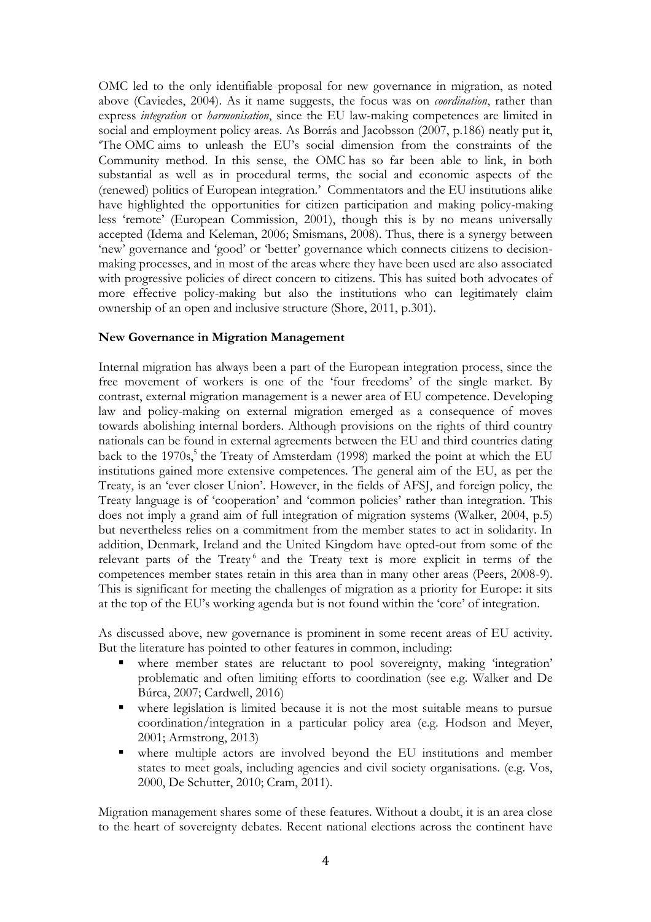OMC led to the only identifiable proposal for new governance in migration, as noted above (Caviedes, 2004). As it name suggests, the focus was on *coordination*, rather than express *integration* or *harmonisation*, since the EU law-making competences are limited in social and employment policy areas. As Borrás and Jacobsson (2007, p.186) neatly put it, 'The OMC aims to unleash the EU's social dimension from the constraints of the Community method. In this sense, the OMC has so far been able to link, in both substantial as well as in procedural terms, the social and economic aspects of the (renewed) politics of European integration.' Commentators and the EU institutions alike have highlighted the opportunities for citizen participation and making policy-making less 'remote' (European Commission, 2001), though this is by no means universally accepted (Idema and Keleman, 2006; Smismans, 2008). Thus, there is a synergy between 'new' governance and 'good' or 'better' governance which connects citizens to decisionmaking processes, and in most of the areas where they have been used are also associated with progressive policies of direct concern to citizens. This has suited both advocates of more effective policy-making but also the institutions who can legitimately claim ownership of an open and inclusive structure (Shore, 2011, p.301).

# **New Governance in Migration Management**

Internal migration has always been a part of the European integration process, since the free movement of workers is one of the 'four freedoms' of the single market. By contrast, external migration management is a newer area of EU competence. Developing law and policy-making on external migration emerged as a consequence of moves towards abolishing internal borders. Although provisions on the rights of third country nationals can be found in external agreements between the EU and third countries dating back to the 1970s,<sup>5</sup> the Treaty of Amsterdam (1998) marked the point at which the EU institutions gained more extensive competences. The general aim of the EU, as per the Treaty, is an 'ever closer Union'. However, in the fields of AFSJ, and foreign policy, the Treaty language is of 'cooperation' and 'common policies' rather than integration. This does not imply a grand aim of full integration of migration systems (Walker, 2004, p.5) but nevertheless relies on a commitment from the member states to act in solidarity. In addition, Denmark, Ireland and the United Kingdom have opted-out from some of the relevant parts of the Treaty<sup>6</sup> and the Treaty text is more explicit in terms of the competences member states retain in this area than in many other areas (Peers, 2008-9). This is significant for meeting the challenges of migration as a priority for Europe: it sits at the top of the EU's working agenda but is not found within the 'core' of integration.

As discussed above, new governance is prominent in some recent areas of EU activity. But the literature has pointed to other features in common, including:

- where member states are reluctant to pool sovereignty, making 'integration' problematic and often limiting efforts to coordination (see e.g. Walker and De Búrca, 2007; Cardwell, 2016)
- where legislation is limited because it is not the most suitable means to pursue coordination/integration in a particular policy area (e.g. Hodson and Meyer, 2001; Armstrong, 2013)
- where multiple actors are involved beyond the EU institutions and member states to meet goals, including agencies and civil society organisations. (e.g. Vos, 2000, De Schutter, 2010; Cram, 2011).

Migration management shares some of these features. Without a doubt, it is an area close to the heart of sovereignty debates. Recent national elections across the continent have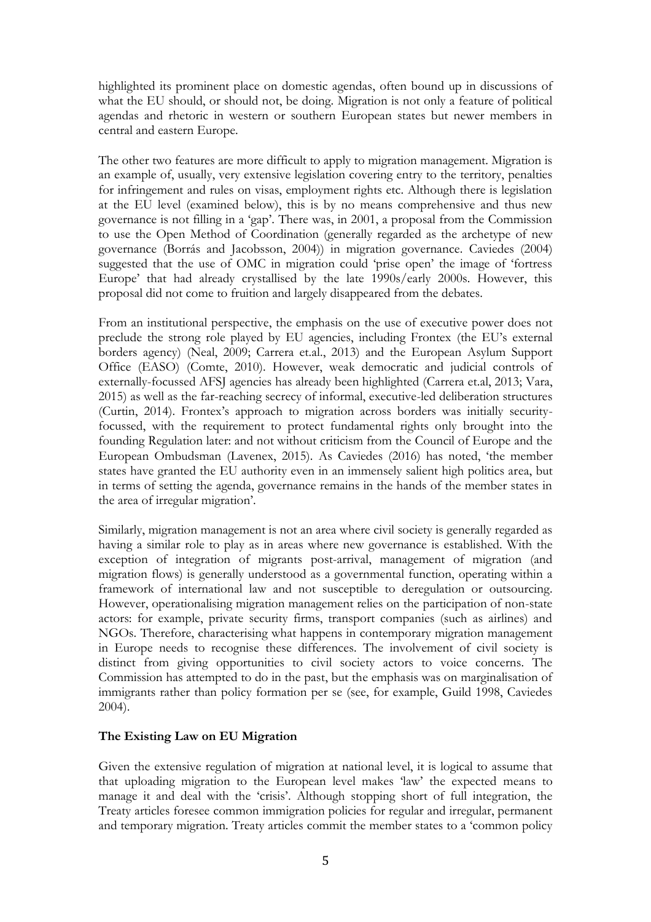highlighted its prominent place on domestic agendas, often bound up in discussions of what the EU should, or should not, be doing. Migration is not only a feature of political agendas and rhetoric in western or southern European states but newer members in central and eastern Europe.

The other two features are more difficult to apply to migration management. Migration is an example of, usually, very extensive legislation covering entry to the territory, penalties for infringement and rules on visas, employment rights etc. Although there is legislation at the EU level (examined below), this is by no means comprehensive and thus new governance is not filling in a 'gap'. There was, in 2001, a proposal from the Commission to use the Open Method of Coordination (generally regarded as the archetype of new governance (Borrás and Jacobsson, 2004)) in migration governance. Caviedes (2004) suggested that the use of OMC in migration could 'prise open' the image of 'fortress Europe' that had already crystallised by the late 1990s/early 2000s. However, this proposal did not come to fruition and largely disappeared from the debates.

From an institutional perspective, the emphasis on the use of executive power does not preclude the strong role played by EU agencies, including Frontex (the EU's external borders agency) (Neal, 2009; Carrera et.al., 2013) and the European Asylum Support Office (EASO) (Comte, 2010). However, weak democratic and judicial controls of externally-focussed AFSJ agencies has already been highlighted (Carrera et.al, 2013; Vara, 2015) as well as the far-reaching secrecy of informal, executive-led deliberation structures (Curtin, 2014). Frontex's approach to migration across borders was initially securityfocussed, with the requirement to protect fundamental rights only brought into the founding Regulation later: and not without criticism from the Council of Europe and the European Ombudsman (Lavenex, 2015). As Caviedes (2016) has noted, 'the member states have granted the EU authority even in an immensely salient high politics area, but in terms of setting the agenda, governance remains in the hands of the member states in the area of irregular migration'.

Similarly, migration management is not an area where civil society is generally regarded as having a similar role to play as in areas where new governance is established. With the exception of integration of migrants post-arrival, management of migration (and migration flows) is generally understood as a governmental function, operating within a framework of international law and not susceptible to deregulation or outsourcing. However, operationalising migration management relies on the participation of non-state actors: for example, private security firms, transport companies (such as airlines) and NGOs. Therefore, characterising what happens in contemporary migration management in Europe needs to recognise these differences. The involvement of civil society is distinct from giving opportunities to civil society actors to voice concerns. The Commission has attempted to do in the past, but the emphasis was on marginalisation of immigrants rather than policy formation per se (see, for example, Guild 1998, Caviedes 2004).

#### **The Existing Law on EU Migration**

Given the extensive regulation of migration at national level, it is logical to assume that that uploading migration to the European level makes 'law' the expected means to manage it and deal with the 'crisis'. Although stopping short of full integration, the Treaty articles foresee common immigration policies for regular and irregular, permanent and temporary migration. Treaty articles commit the member states to a 'common policy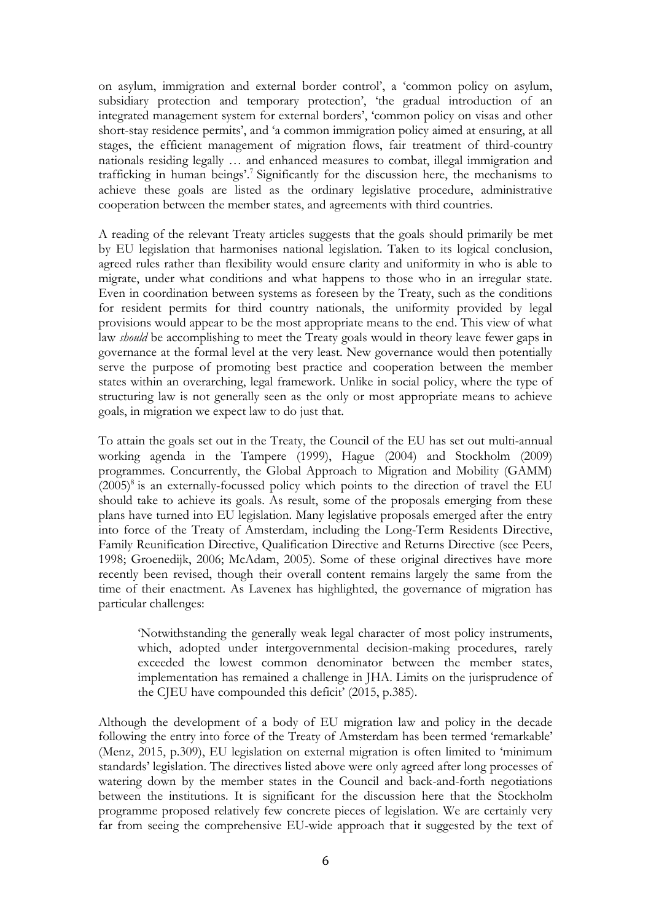on asylum, immigration and external border control', a 'common policy on asylum, subsidiary protection and temporary protection', 'the gradual introduction of an integrated management system for external borders', 'common policy on visas and other short-stay residence permits', and 'a common immigration policy aimed at ensuring, at all stages, the efficient management of migration flows, fair treatment of third-country nationals residing legally … and enhanced measures to combat, illegal immigration and trafficking in human beings'. 7 Significantly for the discussion here, the mechanisms to achieve these goals are listed as the ordinary legislative procedure, administrative cooperation between the member states, and agreements with third countries.

A reading of the relevant Treaty articles suggests that the goals should primarily be met by EU legislation that harmonises national legislation. Taken to its logical conclusion, agreed rules rather than flexibility would ensure clarity and uniformity in who is able to migrate, under what conditions and what happens to those who in an irregular state. Even in coordination between systems as foreseen by the Treaty, such as the conditions for resident permits for third country nationals, the uniformity provided by legal provisions would appear to be the most appropriate means to the end. This view of what law *should* be accomplishing to meet the Treaty goals would in theory leave fewer gaps in governance at the formal level at the very least. New governance would then potentially serve the purpose of promoting best practice and cooperation between the member states within an overarching, legal framework. Unlike in social policy, where the type of structuring law is not generally seen as the only or most appropriate means to achieve goals, in migration we expect law to do just that.

To attain the goals set out in the Treaty, the Council of the EU has set out multi-annual working agenda in the Tampere (1999), Hague (2004) and Stockholm (2009) programmes. Concurrently, the Global Approach to Migration and Mobility (GAMM)  $(2005)^8$  is an externally-focussed policy which points to the direction of travel the EU should take to achieve its goals. As result, some of the proposals emerging from these plans have turned into EU legislation. Many legislative proposals emerged after the entry into force of the Treaty of Amsterdam, including the Long-Term Residents Directive, Family Reunification Directive, Qualification Directive and Returns Directive (see Peers, 1998; Groenedijk, 2006; McAdam, 2005). Some of these original directives have more recently been revised, though their overall content remains largely the same from the time of their enactment. As Lavenex has highlighted, the governance of migration has particular challenges:

'Notwithstanding the generally weak legal character of most policy instruments, which, adopted under intergovernmental decision-making procedures, rarely exceeded the lowest common denominator between the member states, implementation has remained a challenge in JHA. Limits on the jurisprudence of the CJEU have compounded this deficit' (2015, p.385).

Although the development of a body of EU migration law and policy in the decade following the entry into force of the Treaty of Amsterdam has been termed 'remarkable' (Menz, 2015, p.309), EU legislation on external migration is often limited to 'minimum standards' legislation. The directives listed above were only agreed after long processes of watering down by the member states in the Council and back-and-forth negotiations between the institutions. It is significant for the discussion here that the Stockholm programme proposed relatively few concrete pieces of legislation. We are certainly very far from seeing the comprehensive EU-wide approach that it suggested by the text of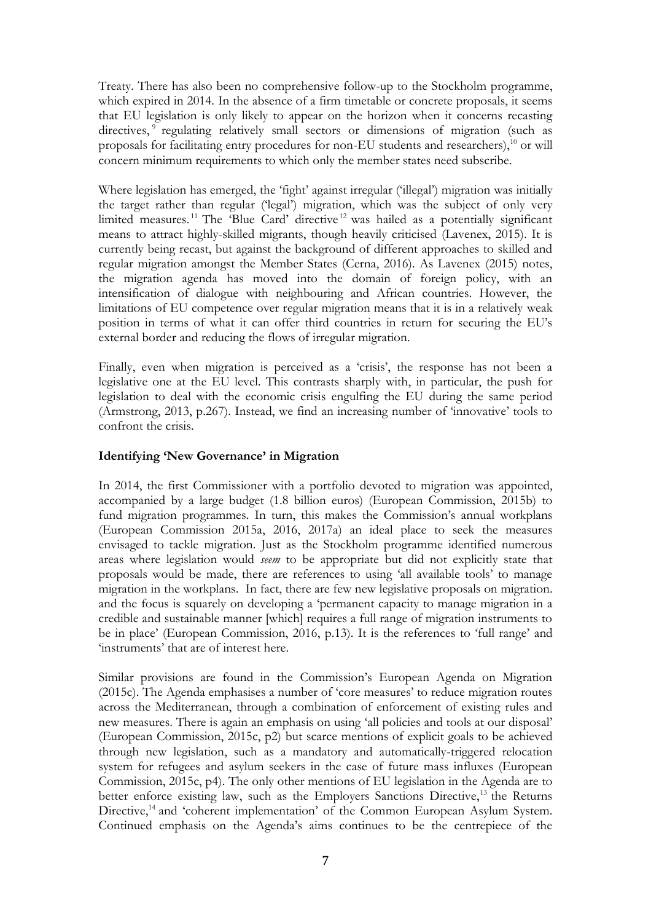Treaty. There has also been no comprehensive follow-up to the Stockholm programme, which expired in 2014. In the absence of a firm timetable or concrete proposals, it seems that EU legislation is only likely to appear on the horizon when it concerns recasting directives, <sup>9</sup> regulating relatively small sectors or dimensions of migration (such as proposals for facilitating entry procedures for non-EU students and researchers), $10$  or will concern minimum requirements to which only the member states need subscribe.

Where legislation has emerged, the 'fight' against irregular ('illegal') migration was initially the target rather than regular ('legal') migration, which was the subject of only very limited measures.<sup>11</sup> The 'Blue Card' directive<sup>12</sup> was hailed as a potentially significant means to attract highly-skilled migrants, though heavily criticised (Lavenex, 2015). It is currently being recast, but against the background of different approaches to skilled and regular migration amongst the Member States (Cerna, 2016). As Lavenex (2015) notes, the migration agenda has moved into the domain of foreign policy, with an intensification of dialogue with neighbouring and African countries. However, the limitations of EU competence over regular migration means that it is in a relatively weak position in terms of what it can offer third countries in return for securing the EU's external border and reducing the flows of irregular migration.

Finally, even when migration is perceived as a 'crisis', the response has not been a legislative one at the EU level. This contrasts sharply with, in particular, the push for legislation to deal with the economic crisis engulfing the EU during the same period (Armstrong, 2013, p.267). Instead, we find an increasing number of 'innovative' tools to confront the crisis.

# **Identifying 'New Governance' in Migration**

In 2014, the first Commissioner with a portfolio devoted to migration was appointed, accompanied by a large budget (1.8 billion euros) (European Commission, 2015b) to fund migration programmes. In turn, this makes the Commission's annual workplans (European Commission 2015a, 2016, 2017a) an ideal place to seek the measures envisaged to tackle migration. Just as the Stockholm programme identified numerous areas where legislation would *seem* to be appropriate but did not explicitly state that proposals would be made, there are references to using 'all available tools' to manage migration in the workplans. In fact, there are few new legislative proposals on migration. and the focus is squarely on developing a 'permanent capacity to manage migration in a credible and sustainable manner [which] requires a full range of migration instruments to be in place' (European Commission, 2016, p.13). It is the references to 'full range' and 'instruments' that are of interest here.

Similar provisions are found in the Commission's European Agenda on Migration (2015c). The Agenda emphasises a number of 'core measures' to reduce migration routes across the Mediterranean, through a combination of enforcement of existing rules and new measures. There is again an emphasis on using 'all policies and tools at our disposal' (European Commission, 2015c, p2) but scarce mentions of explicit goals to be achieved through new legislation, such as a mandatory and automatically-triggered relocation system for refugees and asylum seekers in the case of future mass influxes (European Commission, 2015c, p4). The only other mentions of EU legislation in the Agenda are to better enforce existing law, such as the Employers Sanctions Directive,<sup>13</sup> the Returns Directive,<sup>14</sup> and 'coherent implementation' of the Common European Asylum System. Continued emphasis on the Agenda's aims continues to be the centrepiece of the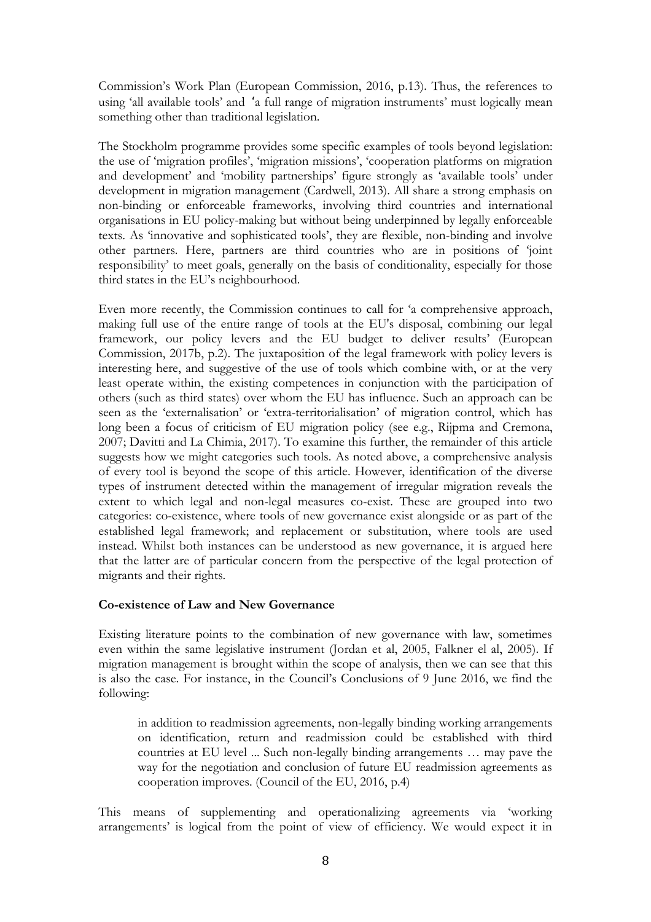Commission's Work Plan (European Commission, 2016, p.13). Thus, the references to using 'all available tools' and 'a full range of migration instruments' must logically mean something other than traditional legislation.

The Stockholm programme provides some specific examples of tools beyond legislation: the use of 'migration profiles', 'migration missions', 'cooperation platforms on migration and development' and 'mobility partnerships' figure strongly as 'available tools' under development in migration management (Cardwell, 2013). All share a strong emphasis on non-binding or enforceable frameworks, involving third countries and international organisations in EU policy-making but without being underpinned by legally enforceable texts. As 'innovative and sophisticated tools', they are flexible, non-binding and involve other partners. Here, partners are third countries who are in positions of 'joint responsibility' to meet goals, generally on the basis of conditionality, especially for those third states in the EU's neighbourhood.

Even more recently, the Commission continues to call for 'a comprehensive approach, making full use of the entire range of tools at the EU's disposal, combining our legal framework, our policy levers and the EU budget to deliver results' (European Commission, 2017b, p.2). The juxtaposition of the legal framework with policy levers is interesting here, and suggestive of the use of tools which combine with, or at the very least operate within, the existing competences in conjunction with the participation of others (such as third states) over whom the EU has influence. Such an approach can be seen as the 'externalisation' or 'extra-territorialisation' of migration control, which has long been a focus of criticism of EU migration policy (see e.g., Rijpma and Cremona, 2007; Davitti and La Chimia, 2017). To examine this further, the remainder of this article suggests how we might categories such tools. As noted above, a comprehensive analysis of every tool is beyond the scope of this article. However, identification of the diverse types of instrument detected within the management of irregular migration reveals the extent to which legal and non-legal measures co-exist. These are grouped into two categories: co-existence, where tools of new governance exist alongside or as part of the established legal framework; and replacement or substitution, where tools are used instead. Whilst both instances can be understood as new governance, it is argued here that the latter are of particular concern from the perspective of the legal protection of migrants and their rights.

# **Co-existence of Law and New Governance**

Existing literature points to the combination of new governance with law, sometimes even within the same legislative instrument (Jordan et al, 2005, Falkner el al, 2005). If migration management is brought within the scope of analysis, then we can see that this is also the case. For instance, in the Council's Conclusions of 9 June 2016, we find the following:

in addition to readmission agreements, non-legally binding working arrangements on identification, return and readmission could be established with third countries at EU level ... Such non-legally binding arrangements … may pave the way for the negotiation and conclusion of future EU readmission agreements as cooperation improves. (Council of the EU, 2016, p.4)

This means of supplementing and operationalizing agreements via 'working arrangements' is logical from the point of view of efficiency. We would expect it in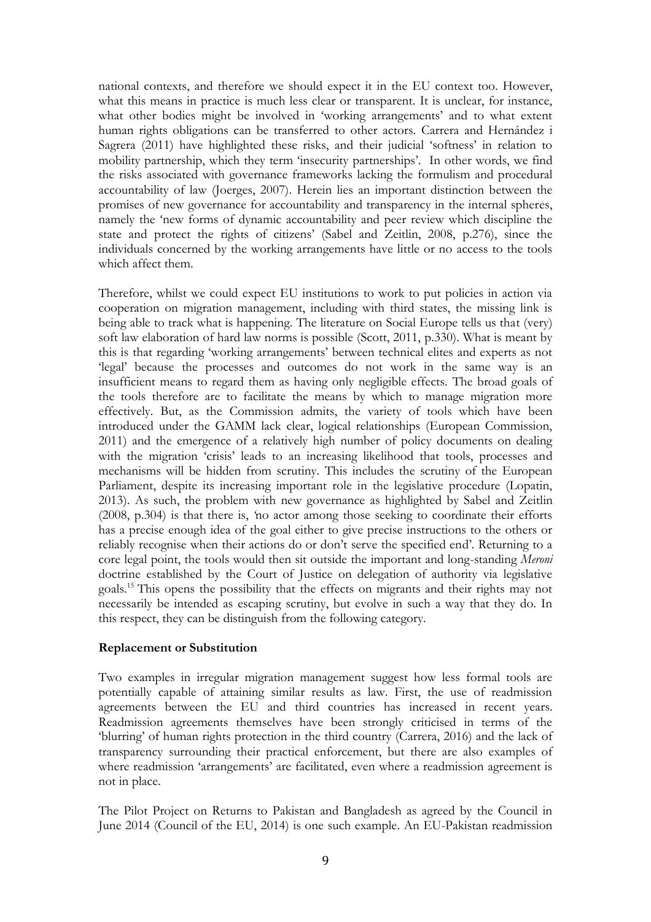national contexts, and therefore we should expect it in the EU context too. However, what this means in practice is much less clear or transparent. It is unclear, for instance, what other bodies might be involved in 'working arrangements' and to what extent human rights obligations can be transferred to other actors. Carrera and Hernández i Sagrera (2011) have highlighted these risks, and their judicial 'softness' in relation to mobility partnership, which they term 'insecurity partnerships'. In other words, we find the risks associated with governance frameworks lacking the formulism and procedural accountability of law (Joerges, 2007). Herein lies an important distinction between the promises of new governance for accountability and transparency in the internal spheres, namely the 'new forms of dynamic accountability and peer review which discipline the state and protect the rights of citizens' (Sabel and Zeitlin, 2008, p.276), since the individuals concerned by the working arrangements have little or no access to the tools which affect them.

Therefore, whilst we could expect EU institutions to work to put policies in action via cooperation on migration management, including with third states, the missing link is being able to track what is happening. The literature on Social Europe tells us that (very) soft law elaboration of hard law norms is possible (Scott, 2011, p.330). What is meant by this is that regarding 'working arrangements' between technical elites and experts as not 'legal' because the processes and outcomes do not work in the same way is an insufficient means to regard them as having only negligible effects. The broad goals of the tools therefore are to facilitate the means by which to manage migration more effectively. But, as the Commission admits, the variety of tools which have been introduced under the GAMM lack clear, logical relationships (European Commission, 2011) and the emergence of a relatively high number of policy documents on dealing with the migration 'crisis' leads to an increasing likelihood that tools, processes and mechanisms will be hidden from scrutiny. This includes the scrutiny of the European Parliament, despite its increasing important role in the legislative procedure (Lopatin, 2013). As such, the problem with new governance as highlighted by Sabel and Zeitlin (2008, p.304) is that there is, *'*no actor among those seeking to coordinate their efforts has a precise enough idea of the goal either to give precise instructions to the others or reliably recognise when their actions do or don't serve the specified end'. Returning to a core legal point, the tools would then sit outside the important and long-standing *Meroni* doctrine established by the Court of Justice on delegation of authority via legislative goals.<sup>15</sup> This opens the possibility that the effects on migrants and their rights may not necessarily be intended as escaping scrutiny, but evolve in such a way that they do. In this respect, they can be distinguish from the following category.

#### **Replacement or Substitution**

Two examples in irregular migration management suggest how less formal tools are potentially capable of attaining similar results as law. First, the use of readmission agreements between the EU and third countries has increased in recent years. Readmission agreements themselves have been strongly criticised in terms of the 'blurring' of human rights protection in the third country (Carrera, 2016) and the lack of transparency surrounding their practical enforcement, but there are also examples of where readmission 'arrangements' are facilitated, even where a readmission agreement is not in place.

The Pilot Project on Returns to Pakistan and Bangladesh as agreed by the Council in June 2014 (Council of the EU, 2014) is one such example. An EU-Pakistan readmission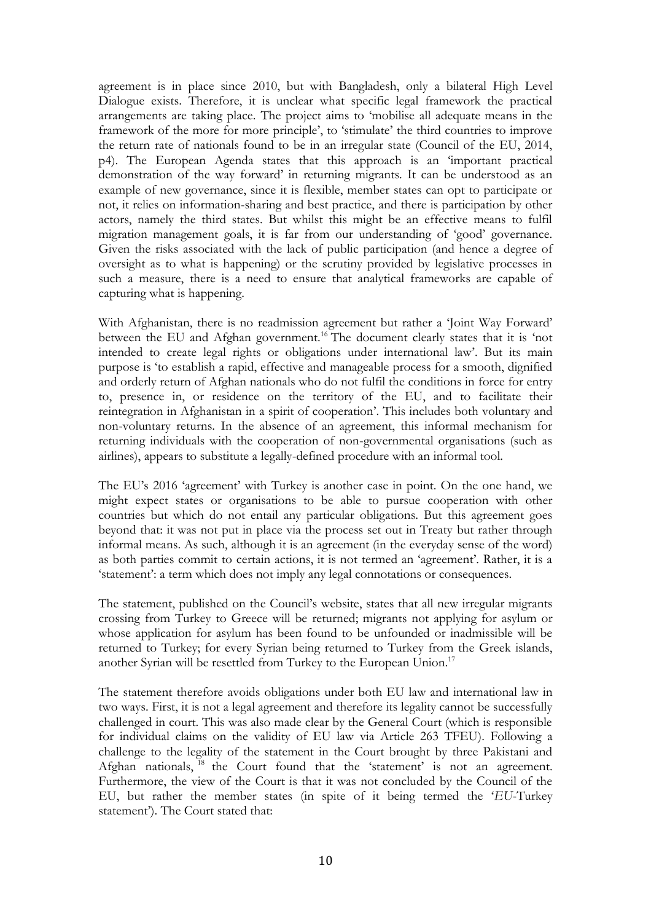agreement is in place since 2010, but with Bangladesh, only a bilateral High Level Dialogue exists. Therefore, it is unclear what specific legal framework the practical arrangements are taking place. The project aims to 'mobilise all adequate means in the framework of the more for more principle', to 'stimulate' the third countries to improve the return rate of nationals found to be in an irregular state (Council of the EU, 2014, p4). The European Agenda states that this approach is an 'important practical demonstration of the way forward' in returning migrants. It can be understood as an example of new governance, since it is flexible, member states can opt to participate or not, it relies on information-sharing and best practice, and there is participation by other actors, namely the third states. But whilst this might be an effective means to fulfil migration management goals, it is far from our understanding of 'good' governance. Given the risks associated with the lack of public participation (and hence a degree of oversight as to what is happening) or the scrutiny provided by legislative processes in such a measure, there is a need to ensure that analytical frameworks are capable of capturing what is happening.

With Afghanistan, there is no readmission agreement but rather a 'Joint Way Forward' between the EU and Afghan government.<sup>16</sup> The document clearly states that it is 'not intended to create legal rights or obligations under international law'. But its main purpose is 'to establish a rapid, effective and manageable process for a smooth, dignified and orderly return of Afghan nationals who do not fulfil the conditions in force for entry to, presence in, or residence on the territory of the EU, and to facilitate their reintegration in Afghanistan in a spirit of cooperation'. This includes both voluntary and non-voluntary returns. In the absence of an agreement, this informal mechanism for returning individuals with the cooperation of non-governmental organisations (such as airlines), appears to substitute a legally-defined procedure with an informal tool.

The EU's 2016 'agreement' with Turkey is another case in point. On the one hand, we might expect states or organisations to be able to pursue cooperation with other countries but which do not entail any particular obligations. But this agreement goes beyond that: it was not put in place via the process set out in Treaty but rather through informal means. As such, although it is an agreement (in the everyday sense of the word) as both parties commit to certain actions, it is not termed an 'agreement'. Rather, it is a 'statement': a term which does not imply any legal connotations or consequences.

The statement, published on the Council's website, states that all new irregular migrants crossing from Turkey to Greece will be returned; migrants not applying for asylum or whose application for asylum has been found to be unfounded or inadmissible will be returned to Turkey; for every Syrian being returned to Turkey from the Greek islands, another Syrian will be resettled from Turkey to the European Union.<sup>17</sup>

The statement therefore avoids obligations under both EU law and international law in two ways. First, it is not a legal agreement and therefore its legality cannot be successfully challenged in court. This was also made clear by the General Court (which is responsible for individual claims on the validity of EU law via Article 263 TFEU). Following a challenge to the legality of the statement in the Court brought by three Pakistani and Afghan nationals, <sup>18</sup> the Court found that the 'statement' is not an agreement. Furthermore, the view of the Court is that it was not concluded by the Council of the EU, but rather the member states (in spite of it being termed the '*EU*-Turkey statement'). The Court stated that: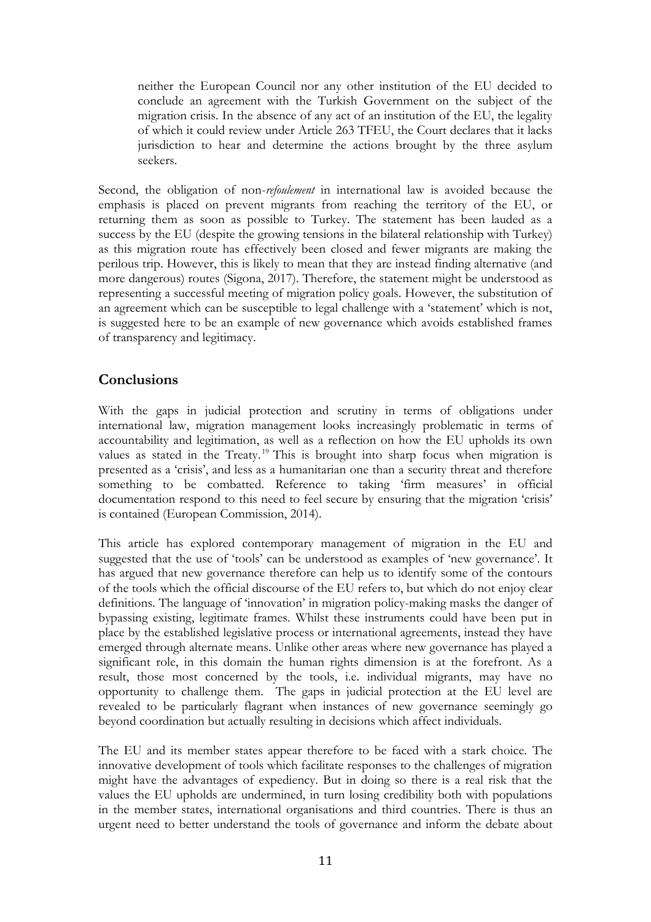neither the European Council nor any other institution of the EU decided to conclude an agreement with the Turkish Government on the subject of the migration crisis. In the absence of any act of an institution of the EU, the legality of which it could review under Article 263 TFEU, the Court declares that it lacks jurisdiction to hear and determine the actions brought by the three asylum seekers.

Second, the obligation of non-*refoulement* in international law is avoided because the emphasis is placed on prevent migrants from reaching the territory of the EU, or returning them as soon as possible to Turkey. The statement has been lauded as a success by the EU (despite the growing tensions in the bilateral relationship with Turkey) as this migration route has effectively been closed and fewer migrants are making the perilous trip. However, this is likely to mean that they are instead finding alternative (and more dangerous) routes (Sigona, 2017). Therefore, the statement might be understood as representing a successful meeting of migration policy goals. However, the substitution of an agreement which can be susceptible to legal challenge with a 'statement' which is not, is suggested here to be an example of new governance which avoids established frames of transparency and legitimacy.

# **Conclusions**

With the gaps in judicial protection and scrutiny in terms of obligations under international law, migration management looks increasingly problematic in terms of accountability and legitimation, as well as a reflection on how the EU upholds its own values as stated in the Treaty.<sup>19</sup> This is brought into sharp focus when migration is presented as a 'crisis', and less as a humanitarian one than a security threat and therefore something to be combatted. Reference to taking 'firm measures' in official documentation respond to this need to feel secure by ensuring that the migration 'crisis' is contained (European Commission, 2014).

This article has explored contemporary management of migration in the EU and suggested that the use of 'tools' can be understood as examples of 'new governance'. It has argued that new governance therefore can help us to identify some of the contours of the tools which the official discourse of the EU refers to, but which do not enjoy clear definitions. The language of 'innovation' in migration policy-making masks the danger of bypassing existing, legitimate frames. Whilst these instruments could have been put in place by the established legislative process or international agreements, instead they have emerged through alternate means. Unlike other areas where new governance has played a significant role, in this domain the human rights dimension is at the forefront. As a result, those most concerned by the tools, i.e. individual migrants, may have no opportunity to challenge them. The gaps in judicial protection at the EU level are revealed to be particularly flagrant when instances of new governance seemingly go beyond coordination but actually resulting in decisions which affect individuals.

The EU and its member states appear therefore to be faced with a stark choice. The innovative development of tools which facilitate responses to the challenges of migration might have the advantages of expediency. But in doing so there is a real risk that the values the EU upholds are undermined, in turn losing credibility both with populations in the member states, international organisations and third countries. There is thus an urgent need to better understand the tools of governance and inform the debate about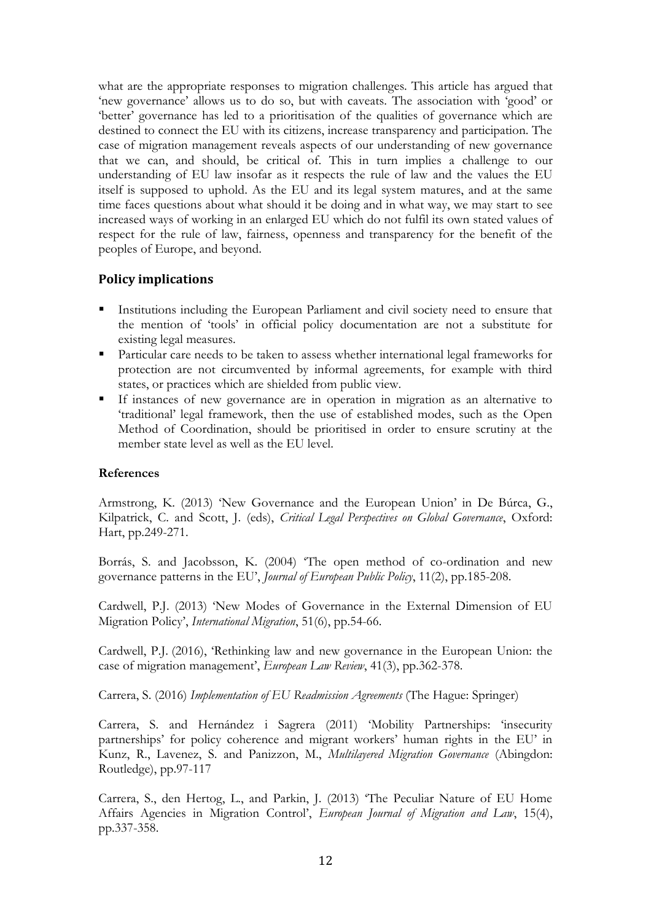what are the appropriate responses to migration challenges. This article has argued that 'new governance' allows us to do so, but with caveats. The association with 'good' or 'better' governance has led to a prioritisation of the qualities of governance which are destined to connect the EU with its citizens, increase transparency and participation. The case of migration management reveals aspects of our understanding of new governance that we can, and should, be critical of. This in turn implies a challenge to our understanding of EU law insofar as it respects the rule of law and the values the EU itself is supposed to uphold. As the EU and its legal system matures, and at the same time faces questions about what should it be doing and in what way, we may start to see increased ways of working in an enlarged EU which do not fulfil its own stated values of respect for the rule of law, fairness, openness and transparency for the benefit of the peoples of Europe, and beyond.

# **Policy implications**

- **Institutions including the European Parliament and civil society need to ensure that** the mention of 'tools' in official policy documentation are not a substitute for existing legal measures.
- Particular care needs to be taken to assess whether international legal frameworks for protection are not circumvented by informal agreements, for example with third states, or practices which are shielded from public view.
- If instances of new governance are in operation in migration as an alternative to 'traditional' legal framework, then the use of established modes, such as the Open Method of Coordination, should be prioritised in order to ensure scrutiny at the member state level as well as the EU level.

# **References**

Armstrong, K. (2013) 'New Governance and the European Union' in De Búrca, G., Kilpatrick, C. and Scott, J. (eds), *Critical Legal Perspectives on Global Governance*, Oxford: Hart, pp.249-271.

Borrás, S. and Jacobsson, K. (2004) 'The open method of co-ordination and new governance patterns in the EU', *Journal of European Public Policy*, 11(2), pp.185-208.

Cardwell, P.J. (2013) 'New Modes of Governance in the External Dimension of EU Migration Policy', *International Migration*, 51(6), pp.54-66.

Cardwell, P.J. (2016), 'Rethinking law and new governance in the European Union: the case of migration management', *European Law Review*, 41(3), pp.362-378.

Carrera, S. (2016) *Implementation of EU Readmission Agreements* (The Hague: Springer)

Carrera, S. and Hernández i Sagrera (2011) 'Mobility Partnerships: 'insecurity partnerships' for policy coherence and migrant workers' human rights in the EU' in Kunz, R., Lavenez, S. and Panizzon, M., *Multilayered Migration Governance* (Abingdon: Routledge), pp.97-117

Carrera, S., den Hertog, L., and Parkin, J. (2013) 'The Peculiar Nature of EU Home Affairs Agencies in Migration Control', *European Journal of Migration and Law*, 15(4), pp.337-358.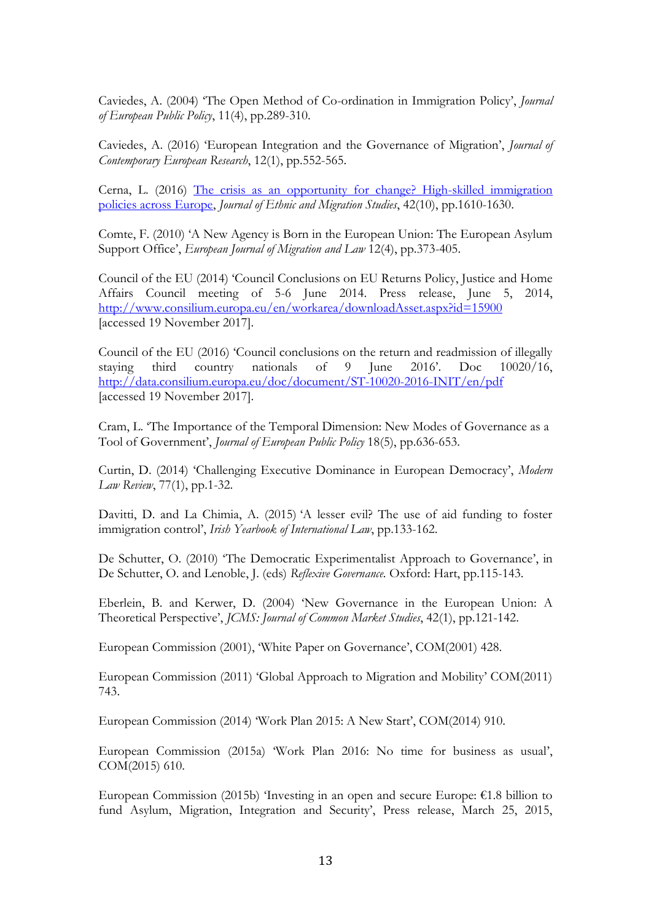Caviedes, A. (2004) 'The Open Method of Co-ordination in Immigration Policy', *Journal of European Public Policy*, 11(4), pp.289-310.

Caviedes, A. (2016) 'European Integration and the Governance of Migration', *Journal of Contemporary European Research*, 12(1), pp.552-565.

Cerna, L. (2016) [The crisis as an opportunity for change? High-skilled immigration](http://www.tandfonline.com/doi/full/10.1080/1369183X.2016.1162355)  [policies across Europe,](http://www.tandfonline.com/doi/full/10.1080/1369183X.2016.1162355) *Journal of Ethnic and Migration Studies*, 42(10), pp.1610-1630.

Comte, F. (2010) 'A New Agency is Born in the European Union: The European Asylum Support Office', *European Journal of Migration and Law* 12(4), pp.373-405.

Council of the EU (2014) 'Council Conclusions on EU Returns Policy, Justice and Home Affairs Council meeting of 5-6 June 2014. Press release, June 5, 2014, <http://www.consilium.europa.eu/en/workarea/downloadAsset.aspx?id=15900> [accessed 19 November 2017].

Council of the EU (2016) 'Council conclusions on the return and readmission of illegally staying third country nationals of 9 June 2016'. Doc 10020/16, <http://data.consilium.europa.eu/doc/document/ST-10020-2016-INIT/en/pdf> [accessed 19 November 2017].

Cram, L. 'The Importance of the Temporal Dimension: New Modes of Governance as a Tool of Government', *Journal of European Public Policy* 18(5), pp.636-653.

Curtin, D. (2014) 'Challenging Executive Dominance in European Democracy', *Modern Law Review*, 77(1), pp.1-32.

Davitti, D. and La Chimia, A. (2015) 'A lesser evil? The use of aid funding to foster immigration control', *Irish Yearbook of International Law*, pp.133-162.

De Schutter, O. (2010) 'The Democratic Experimentalist Approach to Governance', in De Schutter, O. and Lenoble, J. (eds) *Reflexive Governance.* Oxford: Hart, pp.115-143.

Eberlein, B. and Kerwer, D. (2004) 'New Governance in the European Union: A Theoretical Perspective', *JCMS: Journal of Common Market Studies*, 42(1), pp.121-142.

European Commission (2001), 'White Paper on Governance', COM(2001) 428.

European Commission (2011) 'Global Approach to Migration and Mobility' COM(2011) 743.

European Commission (2014) 'Work Plan 2015: A New Start', COM(2014) 910.

European Commission (2015a) 'Work Plan 2016: No time for business as usual', COM(2015) 610.

European Commission (2015b) 'Investing in an open and secure Europe:  $\epsilon$ 1.8 billion to fund Asylum, Migration, Integration and Security', Press release, March 25, 2015,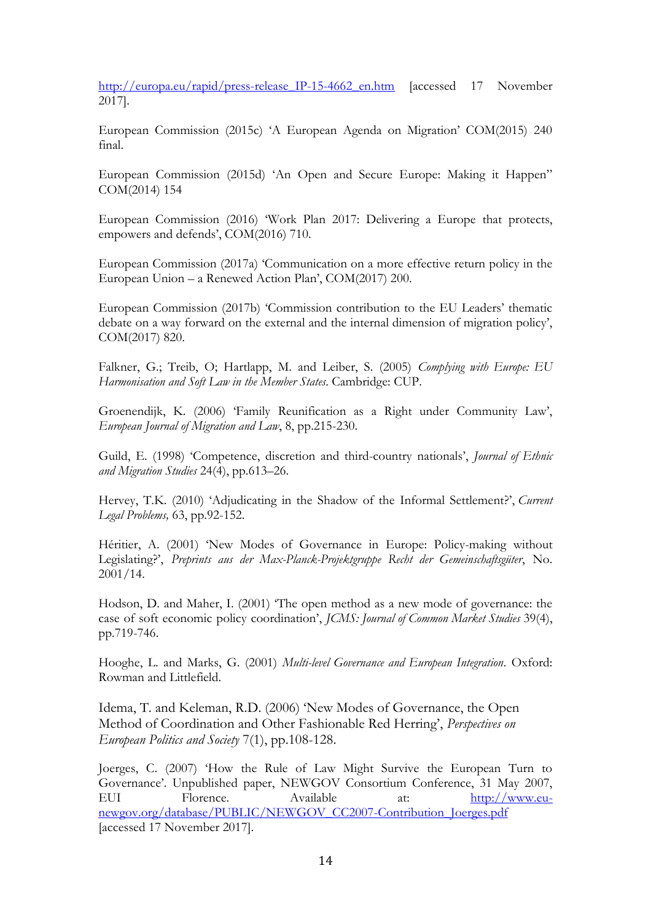http://europa.eu/rapid/press-release IP-15-4662 en.htm [accessed 17 November 2017].

European Commission (2015c) 'A European Agenda on Migration' COM(2015) 240 final.

European Commission (2015d) 'An Open and Secure Europe: Making it Happen" COM(2014) 154

European Commission (2016) 'Work Plan 2017: Delivering a Europe that protects, empowers and defends', COM(2016) 710.

European Commission (2017a) 'Communication on a more effective return policy in the European Union – a Renewed Action Plan', COM(2017) 200.

European Commission (2017b) 'Commission contribution to the EU Leaders' thematic debate on a way forward on the external and the internal dimension of migration policy', COM(2017) 820.

Falkner, G.; Treib, O; Hartlapp, M. and Leiber, S. (2005) *Complying with Europe: EU Harmonisation and Soft Law in the Member States*. Cambridge: CUP.

Groenendijk, K. (2006) 'Family Reunification as a Right under Community Law', *European Journal of Migration and Law*, 8, pp.215-230.

Guild, E. (1998) 'Competence, discretion and third-country nationals', *Journal of Ethnic and Migration Studies* 24(4), pp.613–26.

Hervey, T.K. (2010) 'Adjudicating in the Shadow of the Informal Settlement?', *Current Legal Problems,* 63, pp.92-152.

Héritier, A. (2001) 'New Modes of Governance in Europe: Policy-making without Legislating?', *Preprints aus der Max-Planck-Projektgruppe Recht der Gemeinschaftsgüter*, No. 2001/14.

Hodson, D. and Maher, I. (2001) 'The open method as a new mode of governance: the case of soft economic policy coordination', *JCMS: Journal of Common Market Studies* 39(4), pp.719-746.

Hooghe, L. and Marks, G. (2001) *Multi-level Governance and European Integration*. Oxford: Rowman and Littlefield.

Idema, T. and Keleman, R.D. (2006) 'New Modes of Governance, the Open Method of Coordination and Other Fashionable Red Herring', *Perspectives on European Politics and Society* 7(1), pp.108-128.

Joerges, C. (2007) 'How the Rule of Law Might Survive the European Turn to Governance'. Unpublished paper, NEWGOV Consortium Conference, 31 May 2007, EUI Florence. Available at: [http://www.eu](http://www.eu-newgov.org/database/PUBLIC/NEWGOV_CC2007-Contribution_Joerges.pdf)[newgov.org/database/PUBLIC/NEWGOV\\_CC2007-Contribution\\_Joerges.pdf](http://www.eu-newgov.org/database/PUBLIC/NEWGOV_CC2007-Contribution_Joerges.pdf) [accessed 17 November 2017].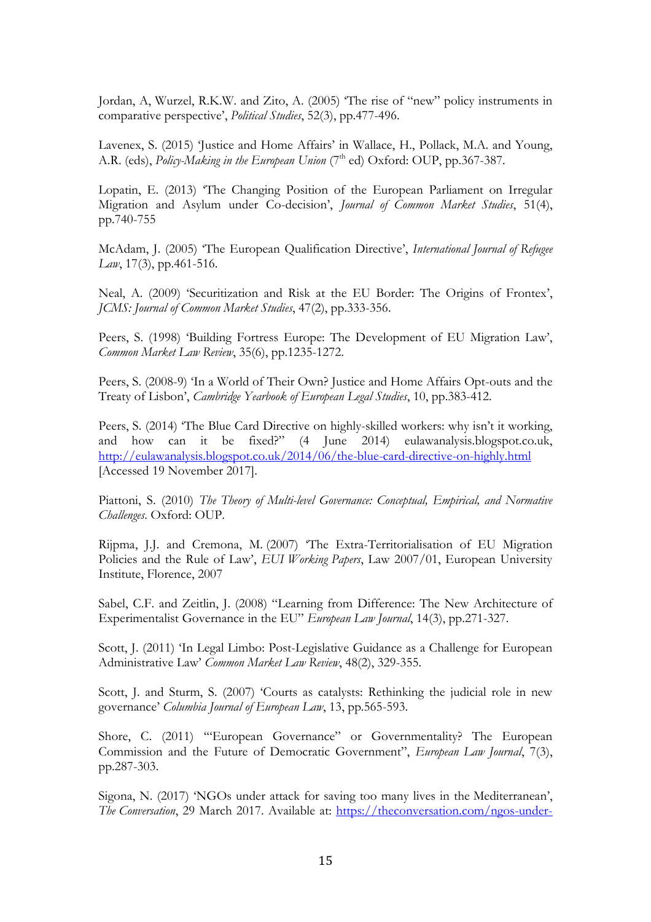Jordan, A, Wurzel, R.K.W. and Zito, A. (2005) 'The rise of "new" policy instruments in comparative perspective', *Political Studies*, 52(3), pp.477-496.

Lavenex, S. (2015) 'Justice and Home Affairs' in Wallace, H., Pollack, M.A. and Young, A.R. (eds), *Policy-Making in the European Union* (7<sup>th</sup> ed) Oxford: OUP, pp.367-387.

Lopatin, E. (2013) 'The Changing Position of the European Parliament on Irregular Migration and Asylum under Co-decision', *Journal of Common Market Studies*, 51(4), pp.740-755

McAdam, J. (2005) 'The European Qualification Directive', *International Journal of Refugee Law*, 17(3), pp.461-516.

Neal, A. (2009) 'Securitization and Risk at the EU Border: The Origins of Frontex', *JCMS: Journal of Common Market Studies*, 47(2), pp.333-356.

Peers, S. (1998) 'Building Fortress Europe: The Development of EU Migration Law', *Common Market Law Review*, 35(6), pp.1235-1272.

Peers, S. (2008-9) 'In a World of Their Own? Justice and Home Affairs Opt-outs and the Treaty of Lisbon', *Cambridge Yearbook of European Legal Studies*, 10, pp.383-412.

Peers, S. (2014) 'The Blue Card Directive on highly-skilled workers: why isn't it working, and how can it be fixed?" (4 June 2014) eulawanalysis.blogspot.co.uk, <http://eulawanalysis.blogspot.co.uk/2014/06/the-blue-card-directive-on-highly.html> [Accessed 19 November 2017].

Piattoni, S. (2010) *The Theory of Multi-level Governance: Conceptual, Empirical, and Normative Challenges*. Oxford: OUP.

Rijpma, J.J. and Cremona, M. (2007) 'The Extra-Territorialisation of EU Migration Policies and the Rule of Law', *EUI Working Papers*, Law 2007/01, European University Institute, Florence, 2007

Sabel, C.F. and Zeitlin, J. (2008) "Learning from Difference: The New Architecture of Experimentalist Governance in the EU" *European Law Journal*, 14(3), pp.271-327.

Scott, J. (2011) 'In Legal Limbo: Post-Legislative Guidance as a Challenge for European Administrative Law' *Common Market Law Review*, 48(2), 329-355.

Scott, J. and Sturm, S. (2007) 'Courts as catalysts: Rethinking the judicial role in new governance' *Columbia Journal of European Law*, 13, pp.565-593.

Shore, C. (2011) '"European Governance" or Governmentality? The European Commission and the Future of Democratic Government", *European Law Journal*, 7(3), pp.287-303.

Sigona, N. (2017) 'NGOs under attack for saving too many lives in the Mediterranean', *The Conversation*, 29 March 2017. Available at: [https://theconversation.com/ngos-under-](https://theconversation.com/ngos-under-attack-for-saving-too-many-lives-in-the-mediterranean-75086)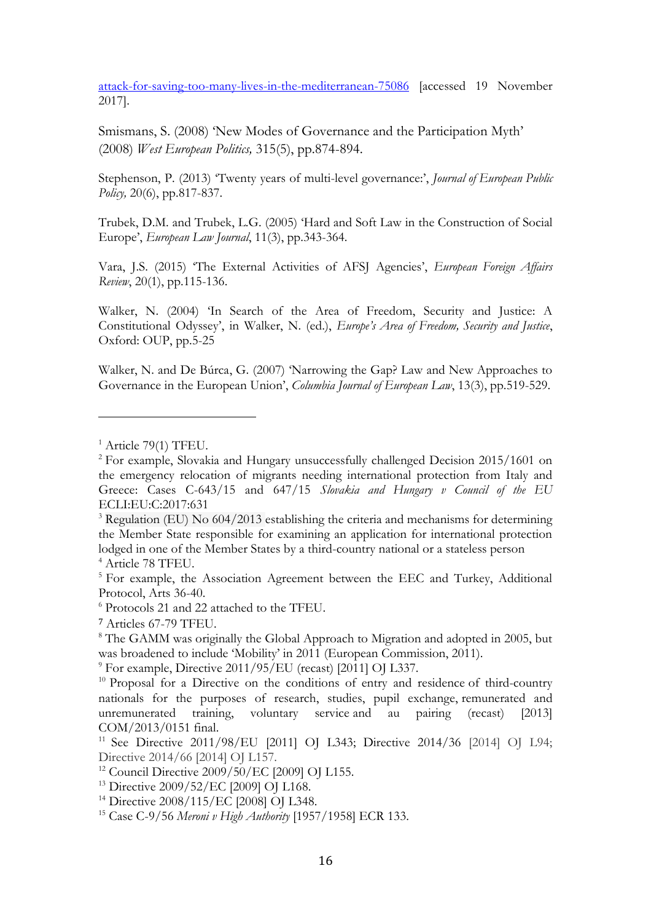[attack-for-saving-too-many-lives-in-the-mediterranean-75086](https://theconversation.com/ngos-under-attack-for-saving-too-many-lives-in-the-mediterranean-75086) [accessed 19 November 2017].

Smismans, S. (2008) 'New Modes of Governance and the Participation Myth' (2008) *West European Politics,* 315(5), pp.874-894.

Stephenson, P. (2013) 'Twenty years of multi-level governance:', *Journal of European Public Policy,* 20(6), pp.817-837.

Trubek, D.M. and Trubek, L.G. (2005) 'Hard and Soft Law in the Construction of Social Europe', *European Law Journal*, 11(3), pp.343-364.

Vara, J.S. (2015) 'The External Activities of AFSJ Agencies', *European Foreign Affairs Review*, 20(1), pp.115-136.

Walker, N. (2004) 'In Search of the Area of Freedom, Security and Justice: A Constitutional Odyssey', in Walker, N. (ed.), *Europe's Area of Freedom, Security and Justice*, Oxford: OUP, pp.5-25

Walker, N. and De Búrca, G. (2007) 'Narrowing the Gap? Law and New Approaches to Governance in the European Union', *Columbia Journal of European Law*, 13(3), pp.519-529.

 $\overline{a}$ 

 $<sup>1</sup>$  Article 79(1) TFEU.</sup>

<sup>&</sup>lt;sup>2</sup> For example, Slovakia and Hungary unsuccessfully challenged Decision 2015/1601 on the emergency relocation of migrants needing international protection from Italy and Greece: Cases C-643/15 and 647/15 *Slovakia and Hungary v Council of the EU* ECLI:EU:C:2017:631

<sup>&</sup>lt;sup>3</sup> Regulation (EU) No 604/2013 establishing the criteria and mechanisms for determining the Member State responsible for examining an application for international protection lodged in one of the Member States by a third-country national or a stateless person <sup>4</sup> Article 78 TFEU.

<sup>&</sup>lt;sup>5</sup> For example, the Association Agreement between the EEC and Turkey, Additional Protocol, Arts 36-40.

<sup>6</sup> Protocols 21 and 22 attached to the TFEU.

<sup>7</sup> Articles 67-79 TFEU.

<sup>&</sup>lt;sup>8</sup> The GAMM was originally the Global Approach to Migration and adopted in 2005, but was broadened to include 'Mobility' in 2011 (European Commission, 2011).

<sup>9</sup> For example, Directive 2011/95/EU (recast) [2011] OJ L337.

<sup>&</sup>lt;sup>10</sup> Proposal for a Directive on the conditions of entry and residence of third-country nationals for the purposes of research, studies, pupil exchange, remunerated and unremunerated training, voluntary service and au pairing (recast) [2013] unremunerated training, voluntary service and au pairing (recast) [2013] COM/2013/0151 final.

<sup>&</sup>lt;sup>11</sup> See Directive 2011/98/EU [2011] OJ L343; Directive 2014/36 [2014] OJ L94; Directive 2014/66 [2014] OJ L157.

<sup>12</sup> Council Directive 2009/50/EC [2009] OJ L155.

<sup>13</sup> Directive 2009/52/EC [2009] OJ L168.

<sup>14</sup> Directive 2008/115/EC [2008] OJ L348.

<sup>15</sup> Case C-9/56 *Meroni v High Authority* [1957/1958] ECR 133.